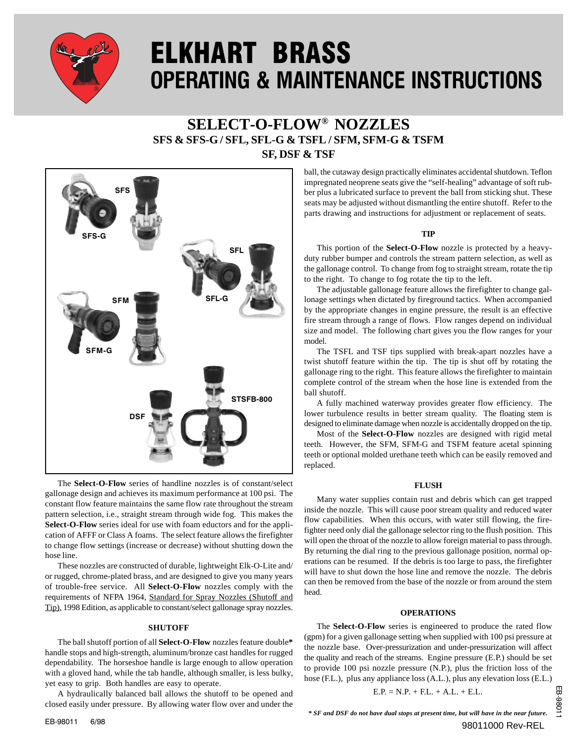

# ELKHART BRASS OPERATING & MAINTENANCE INSTRUCTIONS

# **SELECT-O-FLOW® NOZZLES SFS & SFS-G / SFL, SFL-G & TSFL / SFM, SFM-G & TSFM SF, DSF & TSF**



The **Select-O-Flow** series of handline nozzles is of constant/select gallonage design and achieves its maximum performance at 100 psi. The constant flow feature maintains the same flow rate throughout the stream pattern selection, i.e., straight stream through wide fog. This makes the **Select-O-Flow** series ideal for use with foam eductors and for the application of AFFF or Class A foams. The select feature allows the firefighter to change flow settings (increase or decrease) without shutting down the hose line.

These nozzles are constructed of durable, lightweight Elk-O-Lite and/ or rugged, chrome-plated brass, and are designed to give you many years of trouble-free service. All **Select-O-Flow** nozzles comply with the requirements of NFPA 1964, Standard for Spray Nozzles (Shutoff and Tip), 1998 Edition, as applicable to constant/select gallonage spray nozzles.

#### **SHUTOFF**

The ball shutoff portion of all **Select-O-Flow** nozzles feature double**\*** handle stops and high-strength, aluminum/bronze cast handles for rugged dependability. The horseshoe handle is large enough to allow operation with a gloved hand, while the tab handle, although smaller, is less bulky, yet easy to grip. Both handles are easy to operate.

A hydraulically balanced ball allows the shutoff to be opened and closed easily under pressure. By allowing water flow over and under the ball, the cutaway design practically eliminates accidental shutdown. Teflon impregnated neoprene seats give the "self-healing" advantage of soft rubber plus a lubricated surface to prevent the ball from sticking shut. These seats may be adjusted without dismantling the entire shutoff. Refer to the parts drawing and instructions for adjustment or replacement of seats.

# **TIP**

This portion of the **Select-O-Flow** nozzle is protected by a heavyduty rubber bumper and controls the stream pattern selection, as well as the gallonage control. To change from fog to straight stream, rotate the tip to the right. To change to fog rotate the tip to the left.

The adjustable gallonage feature allows the firefighter to change gallonage settings when dictated by fireground tactics. When accompanied by the appropriate changes in engine pressure, the result is an effective fire stream through a range of flows. Flow ranges depend on individual size and model. The following chart gives you the flow ranges for your model.

The TSFL and TSF tips supplied with break-apart nozzles have a twist shutoff feature within the tip. The tip is shut off by rotating the gallonage ring to the right. This feature allows the firefighter to maintain complete control of the stream when the hose line is extended from the ball shutoff.

A fully machined waterway provides greater flow efficiency. The lower turbulence results in better stream quality. The floating stem is designed to eliminate damage when nozzle is accidentally dropped on the tip.

Most of the **Select-O-Flow** nozzles are designed with rigid metal teeth. However, the SFM, SFM-G and TSFM feature acetal spinning teeth or optional molded urethane teeth which can be easily removed and replaced.

#### **FLUSH**

Many water supplies contain rust and debris which can get trapped inside the nozzle. This will cause poor stream quality and reduced water flow capabilities. When this occurs, with water still flowing, the firefighter need only dial the gallonage selector ring to the flush position. This will open the throat of the nozzle to allow foreign material to pass through. By returning the dial ring to the previous gallonage position, normal operations can be resumed. If the debris is too large to pass, the firefighter will have to shut down the hose line and remove the nozzle. The debris can then be removed from the base of the nozzle or from around the stem head.

# **OPERATIONS**

The **Select-O-Flow** series is engineered to produce the rated flow (gpm) for a given gallonage setting when supplied with 100 psi pressure at the nozzle base. Over-pressurization and under-pressurization will affect the quality and reach of the streams. Engine pressure (E.P.) should be set to provide 100 psi nozzle pressure (N.P.), plus the friction loss of the hose (F.L.), plus any appliance loss (A.L.), plus any elevation loss (E.L.)

$$
E.P. = N.P. + F.L. + A.L. + E.L.
$$

EB-9801 EB-98011